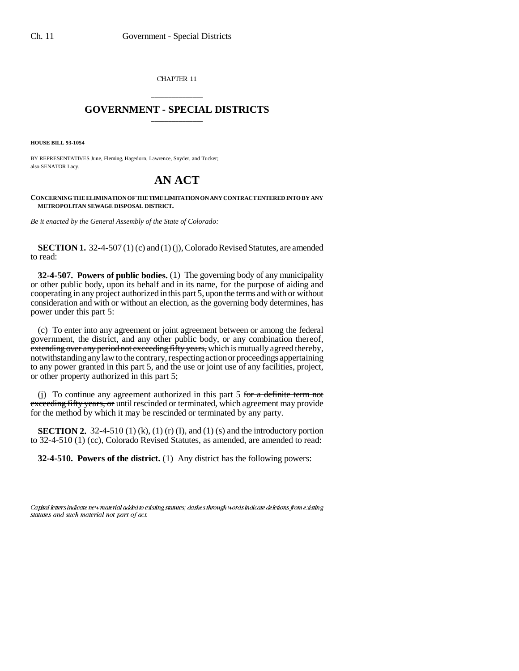CHAPTER 11

## \_\_\_\_\_\_\_\_\_\_\_\_\_\_\_ **GOVERNMENT - SPECIAL DISTRICTS** \_\_\_\_\_\_\_\_\_\_\_\_\_\_\_

**HOUSE BILL 93-1054**

BY REPRESENTATIVES June, Fleming, Hagedorn, Lawrence, Snyder, and Tucker; also SENATOR Lacy.

## **AN ACT**

**CONCERNING THE ELIMINATION OF THE TIME LIMITATION ON ANY CONTRACT ENTERED INTO BY ANY METROPOLITAN SEWAGE DISPOSAL DISTRICT.**

*Be it enacted by the General Assembly of the State of Colorado:*

**SECTION 1.** 32-4-507 (1) (c) and (1) (j), Colorado Revised Statutes, are amended to read:

**32-4-507. Powers of public bodies.** (1) The governing body of any municipality or other public body, upon its behalf and in its name, for the purpose of aiding and cooperating in any project authorized in this part 5, upon the terms and with or without consideration and with or without an election, as the governing body determines, has power under this part 5:

(c) To enter into any agreement or joint agreement between or among the federal government, the district, and any other public body, or any combination thereof, extending over any period not exceeding fifty years, which is mutually agreed thereby, notwithstanding any law to the contrary, respecting action or proceedings appertaining to any power granted in this part 5, and the use or joint use of any facilities, project, or other property authorized in this part 5;

(j) To continue any agreement authorized in this part  $5$  for a definite term not exceeding fifty years, or until rescinded or terminated, which agreement may provide for the method by which it may be rescinded or terminated by any party.

**SECTION 2.**  $32-4-510$  (1) (k), (1) (r) (1), and (1) (s) and the introductory portion<br>to  $32-4-510$  (1) (cc), Colorado Revised Statutes, as amended, are amended to read: **SECTION 2.** 32-4-510 (1) (k), (1) (r) (I), and (1) (s) and the introductory portion

**32-4-510. Powers of the district.** (1) Any district has the following powers:

Capital letters indicate new material added to existing statutes; dashes through words indicate deletions from existing statutes and such material not part of act.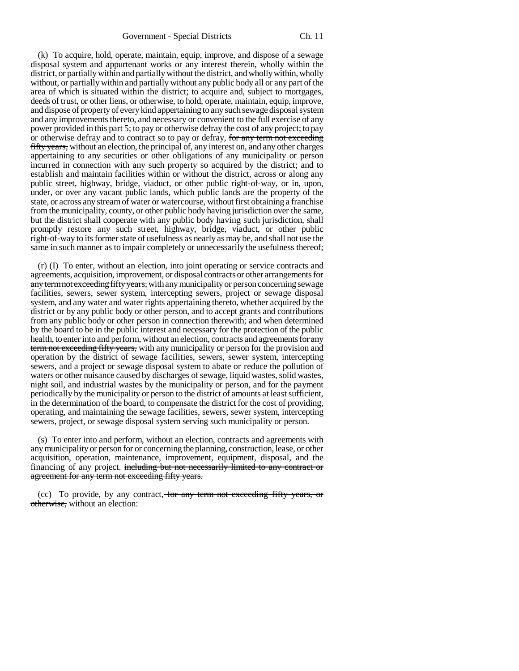(k) To acquire, hold, operate, maintain, equip, improve, and dispose of a sewage disposal system and appurtenant works or any interest therein, wholly within the district, or partially within and partially without the district, and wholly within, wholly without, or partially within and partially without any public body all or any part of the area of which is situated within the district; to acquire and, subject to mortgages, deeds of trust, or other liens, or otherwise, to hold, operate, maintain, equip, improve, and dispose of property of every kind appertaining to any such sewage disposal system and any improvements thereto, and necessary or convenient to the full exercise of any power provided in this part 5; to pay or otherwise defray the cost of any project; to pay or otherwise defray and to contract so to pay or defray, for any term not exceeding fifty years, without an election, the principal of, any interest on, and any other charges appertaining to any securities or other obligations of any municipality or person incurred in connection with any such property so acquired by the district; and to establish and maintain facilities within or without the district, across or along any public street, highway, bridge, viaduct, or other public right-of-way, or in, upon, under, or over any vacant public lands, which public lands are the property of the state, or across any stream of water or watercourse, without first obtaining a franchise from the municipality, county, or other public body having jurisdiction over the same, but the district shall cooperate with any public body having such jurisdiction, shall promptly restore any such street, highway, bridge, viaduct, or other public right-of-way to its former state of usefulness as nearly as may be, and shall not use the same in such manner as to impair completely or unnecessarily the usefulness thereof;

(r) (I) To enter, without an election, into joint operating or service contracts and agreements, acquisition, improvement, or disposal contracts or other arrangements for any term not exceeding fifty years, with any municipality or person concerning sewage facilities, sewers, sewer system, intercepting sewers, project or sewage disposal system, and any water and water rights appertaining thereto, whether acquired by the district or by any public body or other person, and to accept grants and contributions from any public body or other person in connection therewith; and when determined by the board to be in the public interest and necessary for the protection of the public health, to enter into and perform, without an election, contracts and agreements for any term not exceeding fifty years, with any municipality or person for the provision and operation by the district of sewage facilities, sewers, sewer system, intercepting sewers, and a project or sewage disposal system to abate or reduce the pollution of waters or other nuisance caused by discharges of sewage, liquid wastes, solid wastes, night soil, and industrial wastes by the municipality or person, and for the payment periodically by the municipality or person to the district of amounts at least sufficient, in the determination of the board, to compensate the district for the cost of providing, operating, and maintaining the sewage facilities, sewers, sewer system, intercepting sewers, project, or sewage disposal system serving such municipality or person.

(s) To enter into and perform, without an election, contracts and agreements with any municipality or person for or concerning the planning, construction, lease, or other acquisition, operation, maintenance, improvement, equipment, disposal, and the financing of any project. including but not necessarily limited to any contract or agreement for any term not exceeding fifty years.

(cc) To provide, by any contract, for any term not exceeding fifty years, or otherwise, without an election: